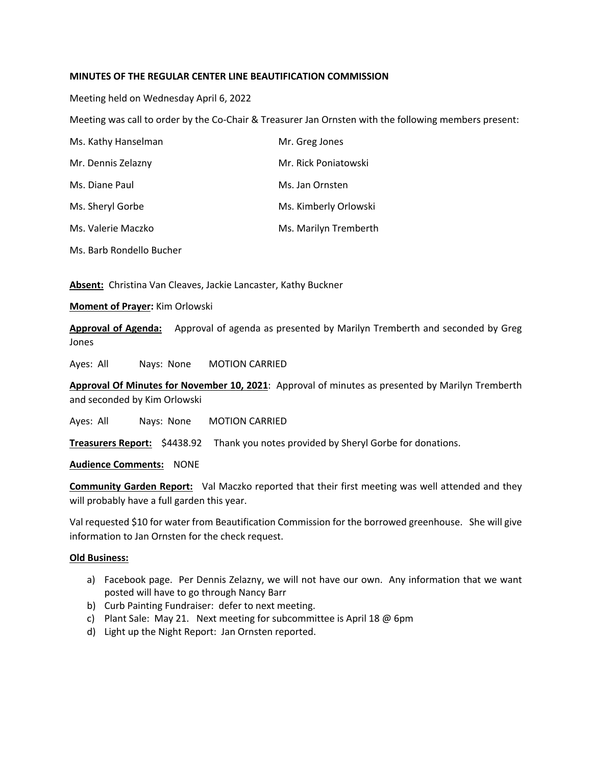# **MINUTES OF THE REGULAR CENTER LINE BEAUTIFICATION COMMISSION**

Meeting held on Wednesday April 6, 2022

Meeting was call to order by the Co-Chair & Treasurer Jan Ornsten with the following members present:

| Ms. Kathy Hanselman      | Mr. Greg Jones        |
|--------------------------|-----------------------|
| Mr. Dennis Zelazny       | Mr. Rick Poniatowski  |
| Ms. Diane Paul           | Ms. Jan Ornsten       |
| Ms. Sheryl Gorbe         | Ms. Kimberly Orlowski |
| Ms. Valerie Maczko       | Ms. Marilyn Tremberth |
| Ms. Barb Rondello Bucher |                       |

**Absent:** Christina Van Cleaves, Jackie Lancaster, Kathy Buckner

## **Moment of Prayer:** Kim Orlowski

**Approval of Agenda:** Approval of agenda as presented by Marilyn Tremberth and seconded by Greg Jones

Ayes: All Nays: None MOTION CARRIED

**Approval Of Minutes for November 10, 2021**: Approval of minutes as presented by Marilyn Tremberth and seconded by Kim Orlowski

Ayes: All Nays: None MOTION CARRIED

**Treasurers Report:** \$4438.92Thank you notes provided by Sheryl Gorbe for donations.

**Audience Comments:** NONE

Community Garden Report: Val Maczko reported that their first meeting was well attended and they will probably have a full garden this year.

Val requested \$10 for water from Beautification Commission for the borrowed greenhouse. She will give information to Jan Ornsten for the check request.

# **Old Business:**

- a) Facebook page. Per Dennis Zelazny, we will not have our own. Any information that we want posted will have to go through Nancy Barr
- b) Curb Painting Fundraiser: defer to next meeting.
- c) Plant Sale: May 21. Next meeting for subcommittee is April 18 @ 6pm
- d) Light up the Night Report: Jan Ornsten reported.